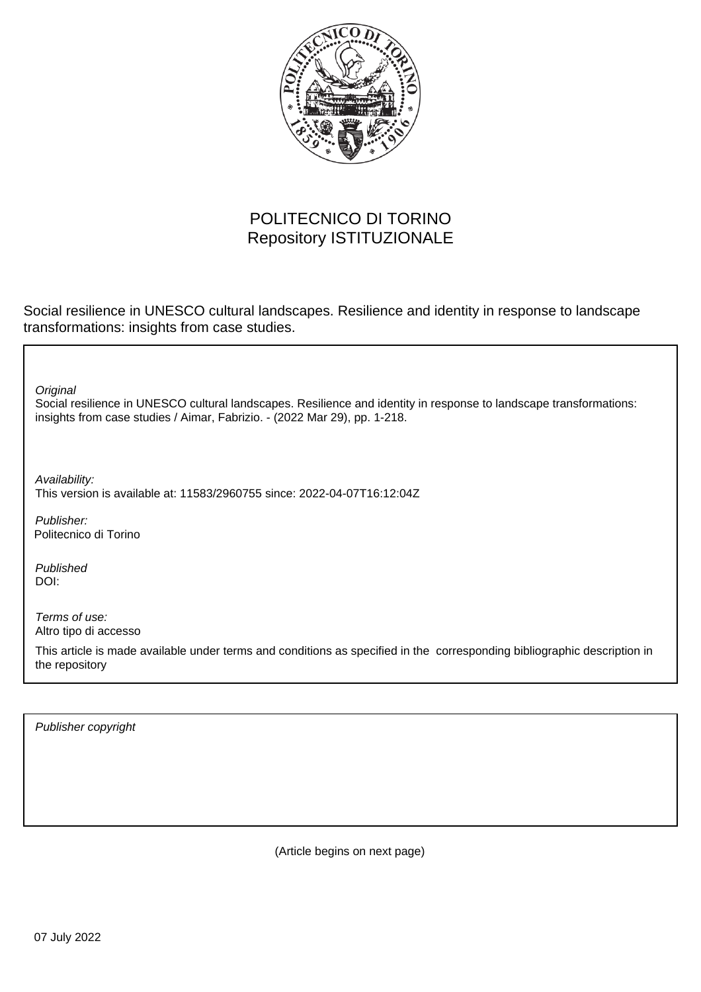

## POLITECNICO DI TORINO Repository ISTITUZIONALE

Social resilience in UNESCO cultural landscapes. Resilience and identity in response to landscape transformations: insights from case studies.

Social resilience in UNESCO cultural landscapes. Resilience and identity in response to landscape transformations: insights from case studies / Aimar, Fabrizio. - (2022 Mar 29), pp. 1-218. **Original** Publisher: Published DOI: Terms of use: Altro tipo di accesso This article is made available under terms and conditions as specified in the corresponding bibliographic description in the repository Availability: This version is available at: 11583/2960755 since: 2022-04-07T16:12:04Z Politecnico di Torino

Publisher copyright

(Article begins on next page)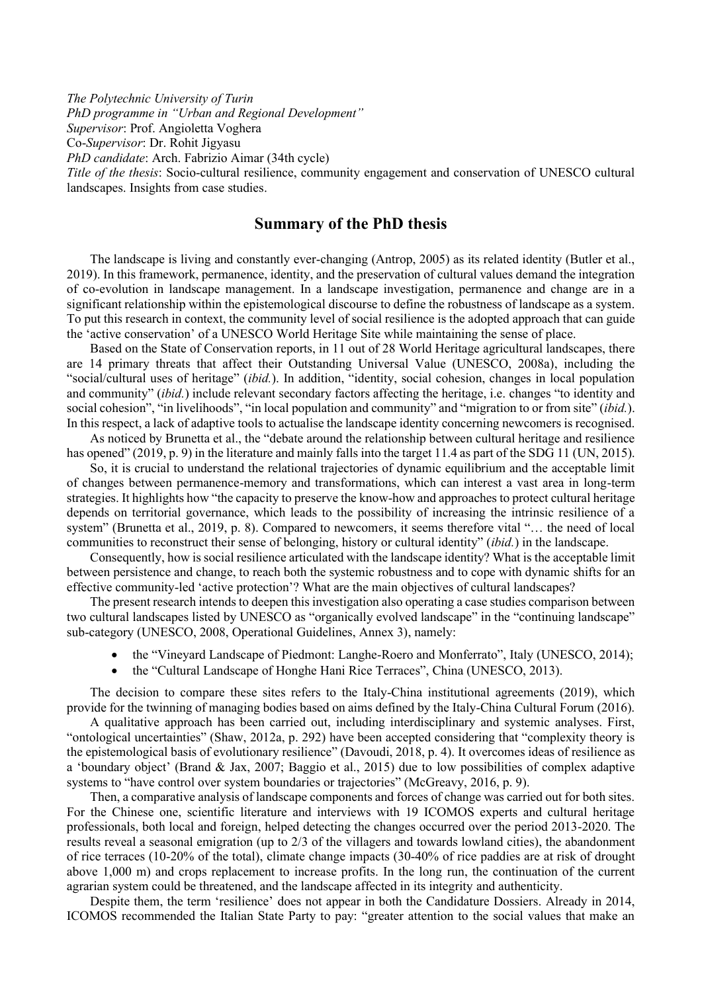*The Polytechnic University of Turin*

*PhD programme in "Urban and Regional Development"*

*Supervisor*: Prof. Angioletta Voghera

Co-*Supervisor*: Dr. Rohit Jigyasu

*PhD candidate*: Arch. Fabrizio Aimar (34th cycle)

*Title of the thesis*: Socio-cultural resilience, community engagement and conservation of UNESCO cultural landscapes. Insights from case studies.

## **Summary of the PhD thesis**

The landscape is living and constantly ever-changing (Antrop, 2005) as its related identity (Butler et al., 2019). In this framework, permanence, identity, and the preservation of cultural values demand the integration of co-evolution in landscape management. In a landscape investigation, permanence and change are in a significant relationship within the epistemological discourse to define the robustness of landscape as a system. To put this research in context, the community level of social resilience is the adopted approach that can guide the 'active conservation' of a UNESCO World Heritage Site while maintaining the sense of place.

Based on the State of Conservation reports, in 11 out of 28 World Heritage agricultural landscapes, there are 14 primary threats that affect their Outstanding Universal Value (UNESCO, 2008a), including the "social/cultural uses of heritage" (*ibid.*). In addition, "identity, social cohesion, changes in local population and community" (*ibid.*) include relevant secondary factors affecting the heritage, i.e. changes "to identity and social cohesion", "in livelihoods", "in local population and community" and "migration to or from site" (*ibid.*). In this respect, a lack of adaptive tools to actualise the landscape identity concerning newcomers is recognised.

As noticed by Brunetta et al., the "debate around the relationship between cultural heritage and resilience has opened" (2019, p. 9) in the literature and mainly falls into the target 11.4 as part of the SDG 11 (UN, 2015).

So, it is crucial to understand the relational trajectories of dynamic equilibrium and the acceptable limit of changes between permanence-memory and transformations, which can interest a vast area in long-term strategies. It highlights how "the capacity to preserve the know-how and approaches to protect cultural heritage depends on territorial governance, which leads to the possibility of increasing the intrinsic resilience of a system" (Brunetta et al., 2019, p. 8). Compared to newcomers, it seems therefore vital "… the need of local communities to reconstruct their sense of belonging, history or cultural identity" (*ibid.*) in the landscape.

Consequently, how is social resilience articulated with the landscape identity? What is the acceptable limit between persistence and change, to reach both the systemic robustness and to cope with dynamic shifts for an effective community-led 'active protection'? What are the main objectives of cultural landscapes?

The present research intends to deepen this investigation also operating a case studies comparison between two cultural landscapes listed by UNESCO as "organically evolved landscape" in the "continuing landscape" sub-category (UNESCO, 2008, Operational Guidelines, Annex 3), namely:

- the "Vineyard Landscape of Piedmont: Langhe-Roero and Monferrato", Italy (UNESCO, 2014);
- the "Cultural Landscape of Honghe Hani Rice Terraces", China (UNESCO, 2013).

The decision to compare these sites refers to the Italy-China institutional agreements (2019), which provide for the twinning of managing bodies based on aims defined by the Italy-China Cultural Forum (2016).

A qualitative approach has been carried out, including interdisciplinary and systemic analyses. First, "ontological uncertainties" (Shaw, 2012a, p. 292) have been accepted considering that "complexity theory is the epistemological basis of evolutionary resilience" (Davoudi, 2018, p. 4). It overcomes ideas of resilience as a 'boundary object' (Brand & Jax, 2007; Baggio et al., 2015) due to low possibilities of complex adaptive systems to "have control over system boundaries or trajectories" (McGreavy, 2016, p. 9).

Then, a comparative analysis of landscape components and forces of change was carried out for both sites. For the Chinese one, scientific literature and interviews with 19 ICOMOS experts and cultural heritage professionals, both local and foreign, helped detecting the changes occurred over the period 2013-2020. The results reveal a seasonal emigration (up to 2/3 of the villagers and towards lowland cities), the abandonment of rice terraces (10-20% of the total), climate change impacts (30-40% of rice paddies are at risk of drought above 1,000 m) and crops replacement to increase profits. In the long run, the continuation of the current agrarian system could be threatened, and the landscape affected in its integrity and authenticity.

Despite them, the term 'resilience' does not appear in both the Candidature Dossiers. Already in 2014, ICOMOS recommended the Italian State Party to pay: "greater attention to the social values that make an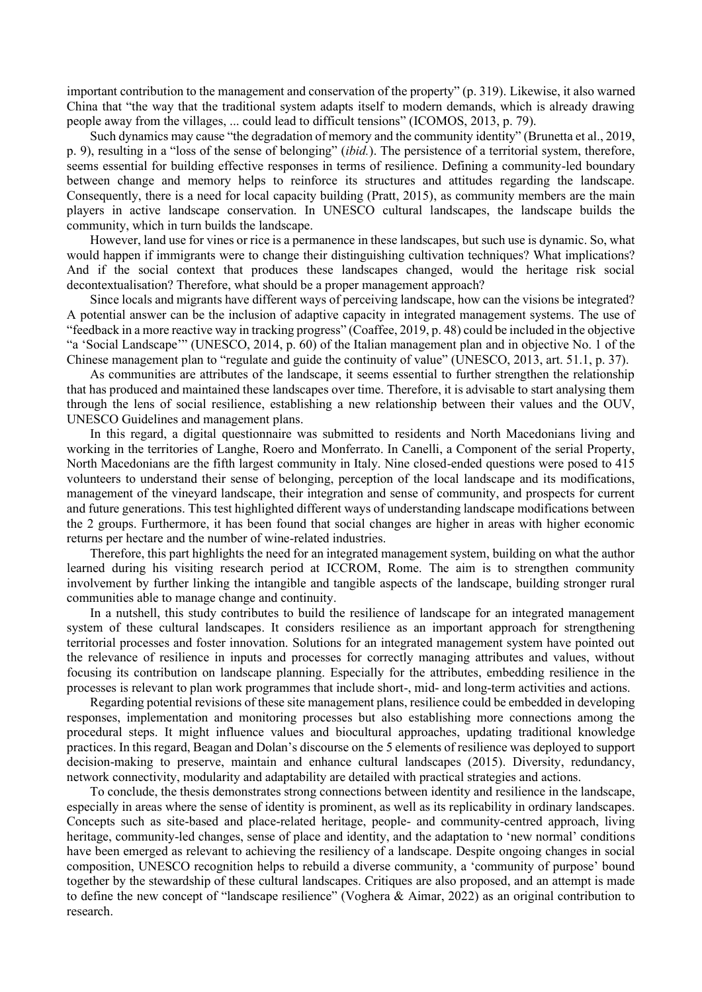important contribution to the management and conservation of the property" (p. 319). Likewise, it also warned China that "the way that the traditional system adapts itself to modern demands, which is already drawing people away from the villages, ... could lead to difficult tensions" (ICOMOS, 2013, p. 79).

Such dynamics may cause "the degradation of memory and the community identity" (Brunetta et al., 2019, p. 9), resulting in a "loss of the sense of belonging" (*ibid.*). The persistence of a territorial system, therefore, seems essential for building effective responses in terms of resilience. Defining a community-led boundary between change and memory helps to reinforce its structures and attitudes regarding the landscape. Consequently, there is a need for local capacity building (Pratt, 2015), as community members are the main players in active landscape conservation. In UNESCO cultural landscapes, the landscape builds the community, which in turn builds the landscape.

However, land use for vines or rice is a permanence in these landscapes, but such use is dynamic. So, what would happen if immigrants were to change their distinguishing cultivation techniques? What implications? And if the social context that produces these landscapes changed, would the heritage risk social decontextualisation? Therefore, what should be a proper management approach?

Since locals and migrants have different ways of perceiving landscape, how can the visions be integrated? A potential answer can be the inclusion of adaptive capacity in integrated management systems. The use of "feedback in a more reactive way in tracking progress" (Coaffee, 2019, p. 48) could be included in the objective "a 'Social Landscape'" (UNESCO, 2014, p. 60) of the Italian management plan and in objective No. 1 of the Chinese management plan to "regulate and guide the continuity of value" (UNESCO, 2013, art. 51.1, p. 37).

As communities are attributes of the landscape, it seems essential to further strengthen the relationship that has produced and maintained these landscapes over time. Therefore, it is advisable to start analysing them through the lens of social resilience, establishing a new relationship between their values and the OUV, UNESCO Guidelines and management plans.

In this regard, a digital questionnaire was submitted to residents and North Macedonians living and working in the territories of Langhe, Roero and Monferrato. In Canelli, a Component of the serial Property, North Macedonians are the fifth largest community in Italy. Nine closed-ended questions were posed to 415 volunteers to understand their sense of belonging, perception of the local landscape and its modifications, management of the vineyard landscape, their integration and sense of community, and prospects for current and future generations. This test highlighted different ways of understanding landscape modifications between the 2 groups. Furthermore, it has been found that social changes are higher in areas with higher economic returns per hectare and the number of wine-related industries.

Therefore, this part highlights the need for an integrated management system, building on what the author learned during his visiting research period at ICCROM, Rome. The aim is to strengthen community involvement by further linking the intangible and tangible aspects of the landscape, building stronger rural communities able to manage change and continuity.

In a nutshell, this study contributes to build the resilience of landscape for an integrated management system of these cultural landscapes. It considers resilience as an important approach for strengthening territorial processes and foster innovation. Solutions for an integrated management system have pointed out the relevance of resilience in inputs and processes for correctly managing attributes and values, without focusing its contribution on landscape planning. Especially for the attributes, embedding resilience in the processes is relevant to plan work programmes that include short-, mid- and long-term activities and actions.

Regarding potential revisions of these site management plans, resilience could be embedded in developing responses, implementation and monitoring processes but also establishing more connections among the procedural steps. It might influence values and biocultural approaches, updating traditional knowledge practices. In this regard, Beagan and Dolan's discourse on the 5 elements of resilience was deployed to support decision-making to preserve, maintain and enhance cultural landscapes (2015). Diversity, redundancy, network connectivity, modularity and adaptability are detailed with practical strategies and actions.

To conclude, the thesis demonstrates strong connections between identity and resilience in the landscape, especially in areas where the sense of identity is prominent, as well as its replicability in ordinary landscapes. Concepts such as site-based and place-related heritage, people- and community-centred approach, living heritage, community-led changes, sense of place and identity, and the adaptation to 'new normal' conditions have been emerged as relevant to achieving the resiliency of a landscape. Despite ongoing changes in social composition, UNESCO recognition helps to rebuild a diverse community, a 'community of purpose' bound together by the stewardship of these cultural landscapes. Critiques are also proposed, and an attempt is made to define the new concept of "landscape resilience" (Voghera & Aimar, 2022) as an original contribution to research.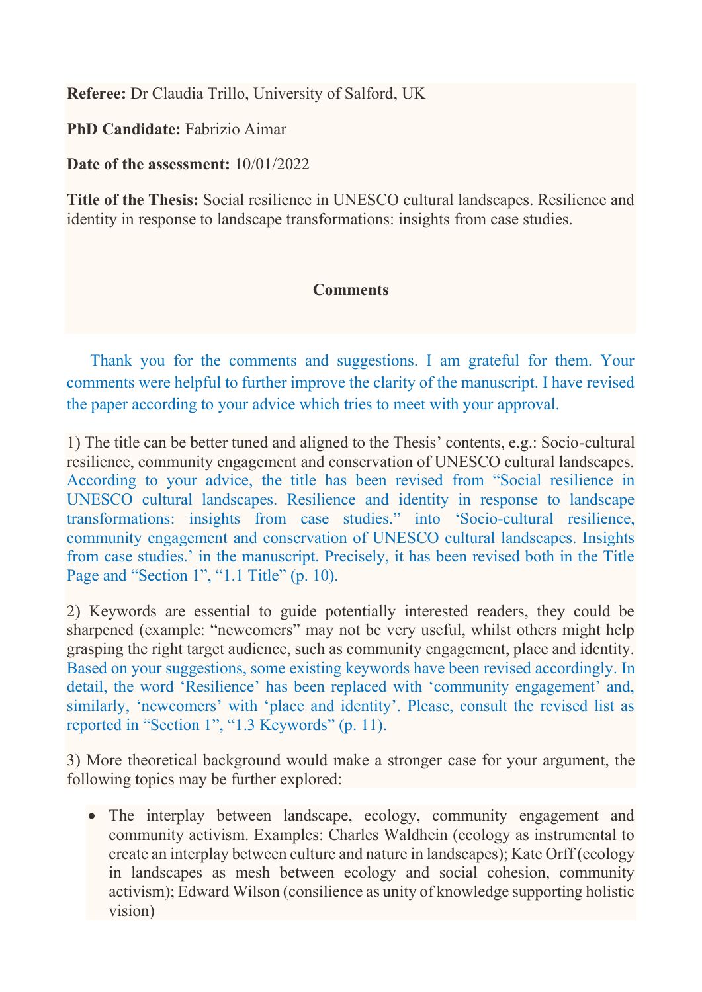**Referee:** Dr Claudia Trillo, University of Salford, UK

**PhD Candidate:** Fabrizio Aimar

**Date of the assessment:** 10/01/2022

**Title of the Thesis:** Social resilience in UNESCO cultural landscapes. Resilience and identity in response to landscape transformations: insights from case studies.

## **Comments**

Thank you for the comments and suggestions. I am grateful for them. Your comments were helpful to further improve the clarity of the manuscript. I have revised the paper according to your advice which tries to meet with your approval.

1) The title can be better tuned and aligned to the Thesis' contents, e.g.: Socio-cultural resilience, community engagement and conservation of UNESCO cultural landscapes. According to your advice, the title has been revised from "Social resilience in UNESCO cultural landscapes. Resilience and identity in response to landscape transformations: insights from case studies." into 'Socio-cultural resilience, community engagement and conservation of UNESCO cultural landscapes. Insights from case studies.' in the manuscript. Precisely, it has been revised both in the Title Page and "Section 1", "1.1 Title" (p. 10).

2) Keywords are essential to guide potentially interested readers, they could be sharpened (example: "newcomers" may not be very useful, whilst others might help grasping the right target audience, such as community engagement, place and identity. Based on your suggestions, some existing keywords have been revised accordingly. In detail, the word 'Resilience' has been replaced with 'community engagement' and, similarly, 'newcomers' with 'place and identity'. Please, consult the revised list as reported in "Section 1", "1.3 Keywords" (p. 11).

3) More theoretical background would make a stronger case for your argument, the following topics may be further explored:

• The interplay between landscape, ecology, community engagement and community activism. Examples: Charles Waldhein (ecology as instrumental to create an interplay between culture and nature in landscapes); Kate Orff (ecology in landscapes as mesh between ecology and social cohesion, community activism); Edward Wilson (consilience as unity of knowledge supporting holistic vision)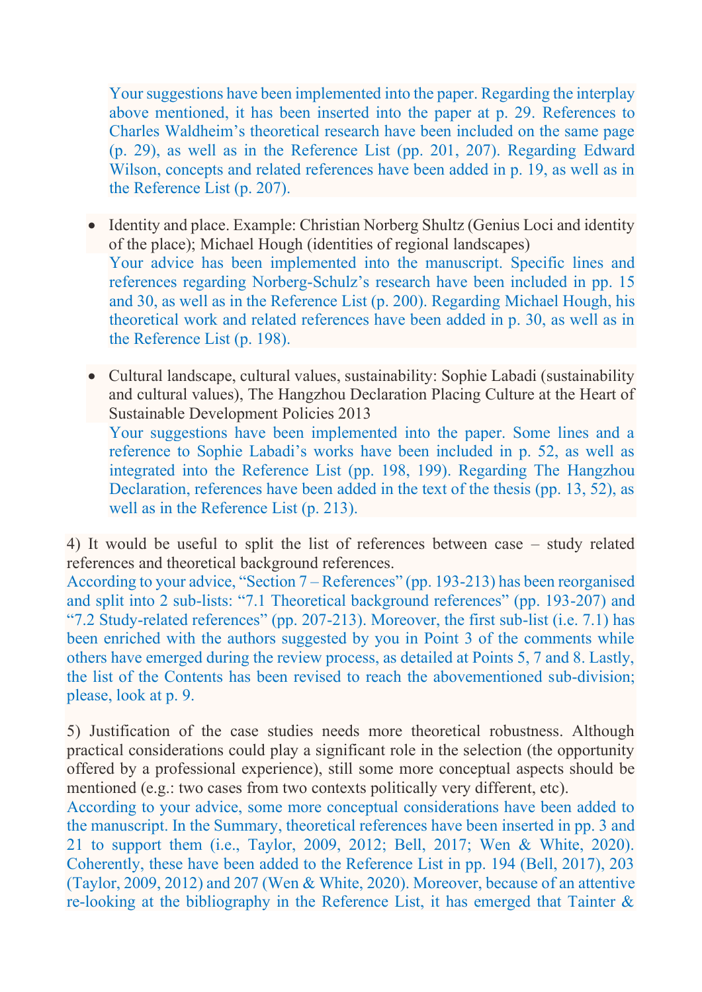Your suggestions have been implemented into the paper. Regarding the interplay above mentioned, it has been inserted into the paper at p. 29. References to Charles Waldheim's theoretical research have been included on the same page (p. 29), as well as in the Reference List (pp. 201, 207). Regarding Edward Wilson, concepts and related references have been added in p. 19, as well as in the Reference List (p. 207).

- Identity and place. Example: Christian Norberg Shultz (Genius Loci and identity of the place); Michael Hough (identities of regional landscapes) Your advice has been implemented into the manuscript. Specific lines and references regarding Norberg-Schulz's research have been included in pp. 15 and 30, as well as in the Reference List (p. 200). Regarding Michael Hough, his theoretical work and related references have been added in p. 30, as well as in the Reference List (p. 198).
- Cultural landscape, cultural values, sustainability: Sophie Labadi (sustainability and cultural values), The Hangzhou Declaration Placing Culture at the Heart of Sustainable Development Policies 2013

Your suggestions have been implemented into the paper. Some lines and a reference to Sophie Labadi's works have been included in p. 52, as well as integrated into the Reference List (pp. 198, 199). Regarding The Hangzhou Declaration, references have been added in the text of the thesis (pp. 13, 52), as well as in the Reference List (p. 213).

4) It would be useful to split the list of references between case – study related references and theoretical background references.

According to your advice, "Section 7 – References" (pp. 193-213) has been reorganised and split into 2 sub-lists: "7.1 Theoretical background references" (pp. 193-207) and "7.2 Study-related references" (pp. 207-213). Moreover, the first sub-list (i.e. 7.1) has been enriched with the authors suggested by you in Point 3 of the comments while others have emerged during the review process, as detailed at Points 5, 7 and 8. Lastly, the list of the Contents has been revised to reach the abovementioned sub-division; please, look at p. 9.

5) Justification of the case studies needs more theoretical robustness. Although practical considerations could play a significant role in the selection (the opportunity offered by a professional experience), still some more conceptual aspects should be mentioned (e.g.: two cases from two contexts politically very different, etc).

According to your advice, some more conceptual considerations have been added to the manuscript. In the Summary, theoretical references have been inserted in pp. 3 and 21 to support them (i.e., Taylor, 2009, 2012; Bell, 2017; Wen & White, 2020). Coherently, these have been added to the Reference List in pp. 194 (Bell, 2017), 203 (Taylor, 2009, 2012) and 207 (Wen & White, 2020). Moreover, because of an attentive re-looking at the bibliography in the Reference List, it has emerged that Tainter &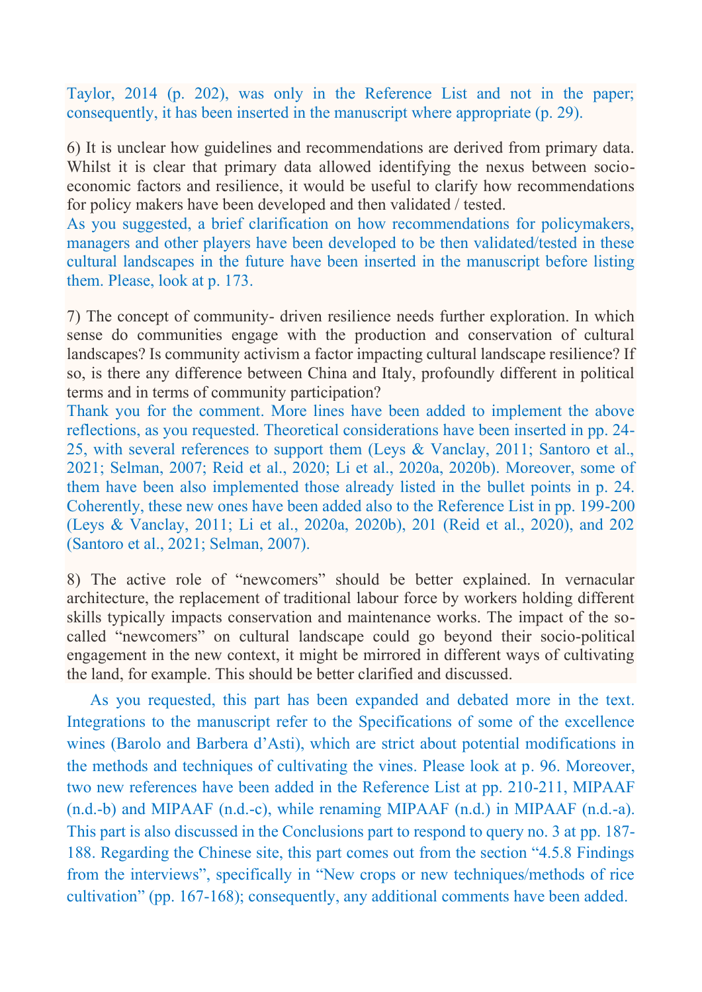Taylor, 2014 (p. 202), was only in the Reference List and not in the paper; consequently, it has been inserted in the manuscript where appropriate (p. 29).

6) It is unclear how guidelines and recommendations are derived from primary data. Whilst it is clear that primary data allowed identifying the nexus between socioeconomic factors and resilience, it would be useful to clarify how recommendations for policy makers have been developed and then validated / tested.

As you suggested, a brief clarification on how recommendations for policymakers, managers and other players have been developed to be then validated/tested in these cultural landscapes in the future have been inserted in the manuscript before listing them. Please, look at p. 173.

7) The concept of community- driven resilience needs further exploration. In which sense do communities engage with the production and conservation of cultural landscapes? Is community activism a factor impacting cultural landscape resilience? If so, is there any difference between China and Italy, profoundly different in political terms and in terms of community participation?

Thank you for the comment. More lines have been added to implement the above reflections, as you requested. Theoretical considerations have been inserted in pp. 24- 25, with several references to support them (Leys & Vanclay, 2011; Santoro et al., 2021; Selman, 2007; Reid et al., 2020; Li et al., 2020a, 2020b). Moreover, some of them have been also implemented those already listed in the bullet points in p. 24. Coherently, these new ones have been added also to the Reference List in pp. 199-200 (Leys & Vanclay, 2011; Li et al., 2020a, 2020b), 201 (Reid et al., 2020), and 202 (Santoro et al., 2021; Selman, 2007).

8) The active role of "newcomers" should be better explained. In vernacular architecture, the replacement of traditional labour force by workers holding different skills typically impacts conservation and maintenance works. The impact of the socalled "newcomers" on cultural landscape could go beyond their socio-political engagement in the new context, it might be mirrored in different ways of cultivating the land, for example. This should be better clarified and discussed.

As you requested, this part has been expanded and debated more in the text. Integrations to the manuscript refer to the Specifications of some of the excellence wines (Barolo and Barbera d'Asti), which are strict about potential modifications in the methods and techniques of cultivating the vines. Please look at p. 96. Moreover, two new references have been added in the Reference List at pp. 210-211, MIPAAF (n.d.-b) and MIPAAF (n.d.-c), while renaming MIPAAF (n.d.) in MIPAAF (n.d.-a). This part is also discussed in the Conclusions part to respond to query no. 3 at pp. 187- 188. Regarding the Chinese site, this part comes out from the section "4.5.8 Findings from the interviews", specifically in "New crops or new techniques/methods of rice cultivation" (pp. 167-168); consequently, any additional comments have been added.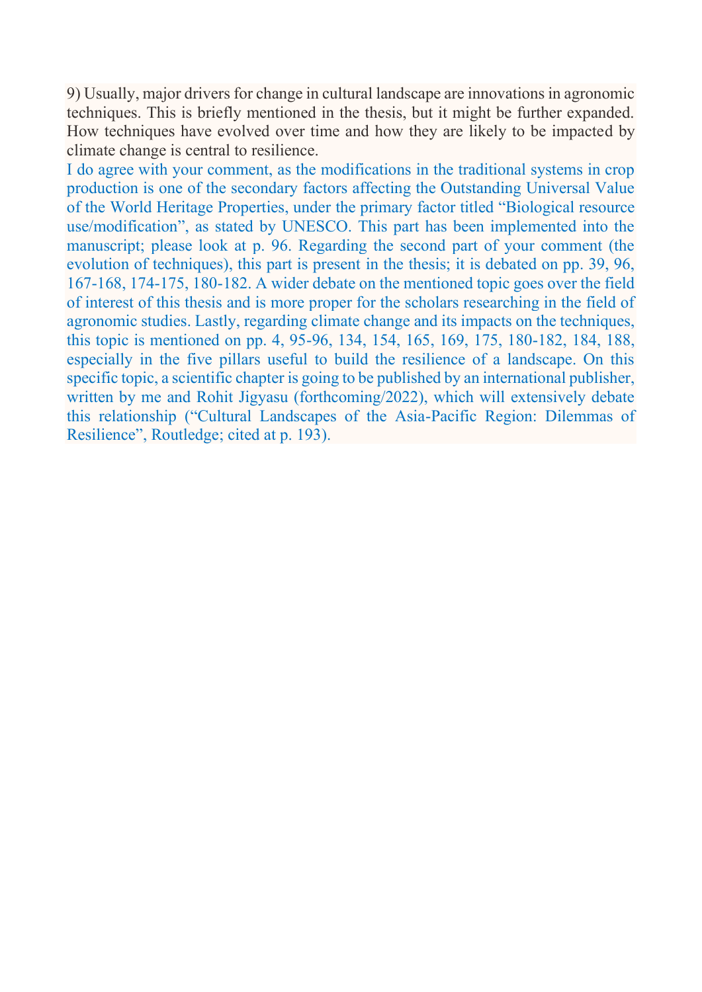9) Usually, major drivers for change in cultural landscape are innovations in agronomic techniques. This is briefly mentioned in the thesis, but it might be further expanded. How techniques have evolved over time and how they are likely to be impacted by climate change is central to resilience.

I do agree with your comment, as the modifications in the traditional systems in crop production is one of the secondary factors affecting the Outstanding Universal Value of the World Heritage Properties, under the primary factor titled "Biological resource use/modification", as stated by UNESCO. This part has been implemented into the manuscript; please look at p. 96. Regarding the second part of your comment (the evolution of techniques), this part is present in the thesis; it is debated on pp. 39, 96, 167-168, 174-175, 180-182. A wider debate on the mentioned topic goes over the field of interest of this thesis and is more proper for the scholars researching in the field of agronomic studies. Lastly, regarding climate change and its impacts on the techniques, this topic is mentioned on pp. 4, 95-96, 134, 154, 165, 169, 175, 180-182, 184, 188, especially in the five pillars useful to build the resilience of a landscape. On this specific topic, a scientific chapter is going to be published by an international publisher, written by me and Rohit Jigyasu (forthcoming/2022), which will extensively debate this relationship ("Cultural Landscapes of the Asia-Pacific Region: Dilemmas of Resilience", Routledge; cited at p. 193).